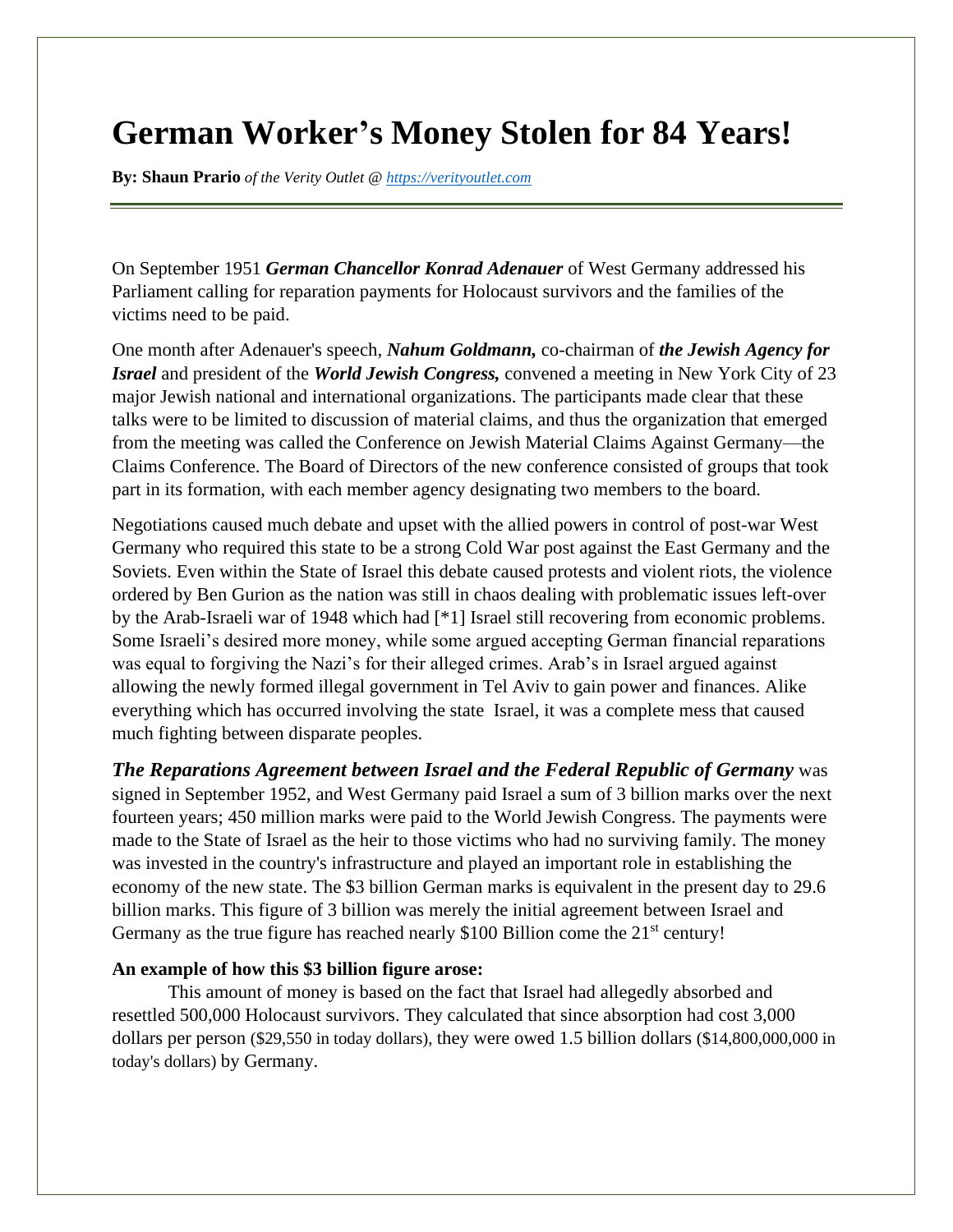## **German Worker's Money Stolen for 84 Years!**

**By: Shaun Prario** *of the Verity Outlet @ [https://verityoutlet.com](https://verityoutlet.com/)*

On September 1951 *German Chancellor Konrad Adenauer* of West Germany addressed his Parliament calling for reparation payments for Holocaust survivors and the families of the victims need to be paid.

One month after Adenauer's speech, *Nahum Goldmann,* co-chairman of *the Jewish Agency for Israel* and president of the *World Jewish Congress,* convened a meeting in New York City of 23 major Jewish national and international organizations. The participants made clear that these talks were to be limited to discussion of material claims, and thus the organization that emerged from the meeting was called the Conference on Jewish Material Claims Against Germany—the Claims Conference. The Board of Directors of the new conference consisted of groups that took part in its formation, with each member agency designating two members to the board.

Negotiations caused much debate and upset with the allied powers in control of post-war West Germany who required this state to be a strong Cold War post against the East Germany and the Soviets. Even within the State of Israel this debate caused protests and violent riots, the violence ordered by Ben Gurion as the nation was still in chaos dealing with problematic issues left-over by the Arab-Israeli war of 1948 which had [\*1] Israel still recovering from economic problems. Some Israeli's desired more money, while some argued accepting German financial reparations was equal to forgiving the Nazi's for their alleged crimes. Arab's in Israel argued against allowing the newly formed illegal government in Tel Aviv to gain power and finances. Alike everything which has occurred involving the state Israel, it was a complete mess that caused much fighting between disparate peoples.

*The Reparations Agreement between Israel and the Federal Republic of Germany* was signed in September 1952, and West Germany paid Israel a sum of 3 billion marks over the next fourteen years; 450 million marks were paid to the World Jewish Congress. The payments were made to the State of Israel as the heir to those victims who had no surviving family. The money was invested in the country's infrastructure and played an important role in establishing the economy of the new state. The \$3 billion German marks is equivalent in the present day to 29.6 billion marks. This figure of 3 billion was merely the initial agreement between Israel and Germany as the true figure has reached nearly \$100 Billion come the  $21<sup>st</sup>$  century!

## **An example of how this \$3 billion figure arose:**

This amount of money is based on the fact that Israel had allegedly absorbed and resettled 500,000 Holocaust survivors. They calculated that since absorption had cost 3,000 dollars per person (\$29,550 in today dollars), they were owed 1.5 billion dollars (\$14,800,000,000 in today's dollars) by Germany.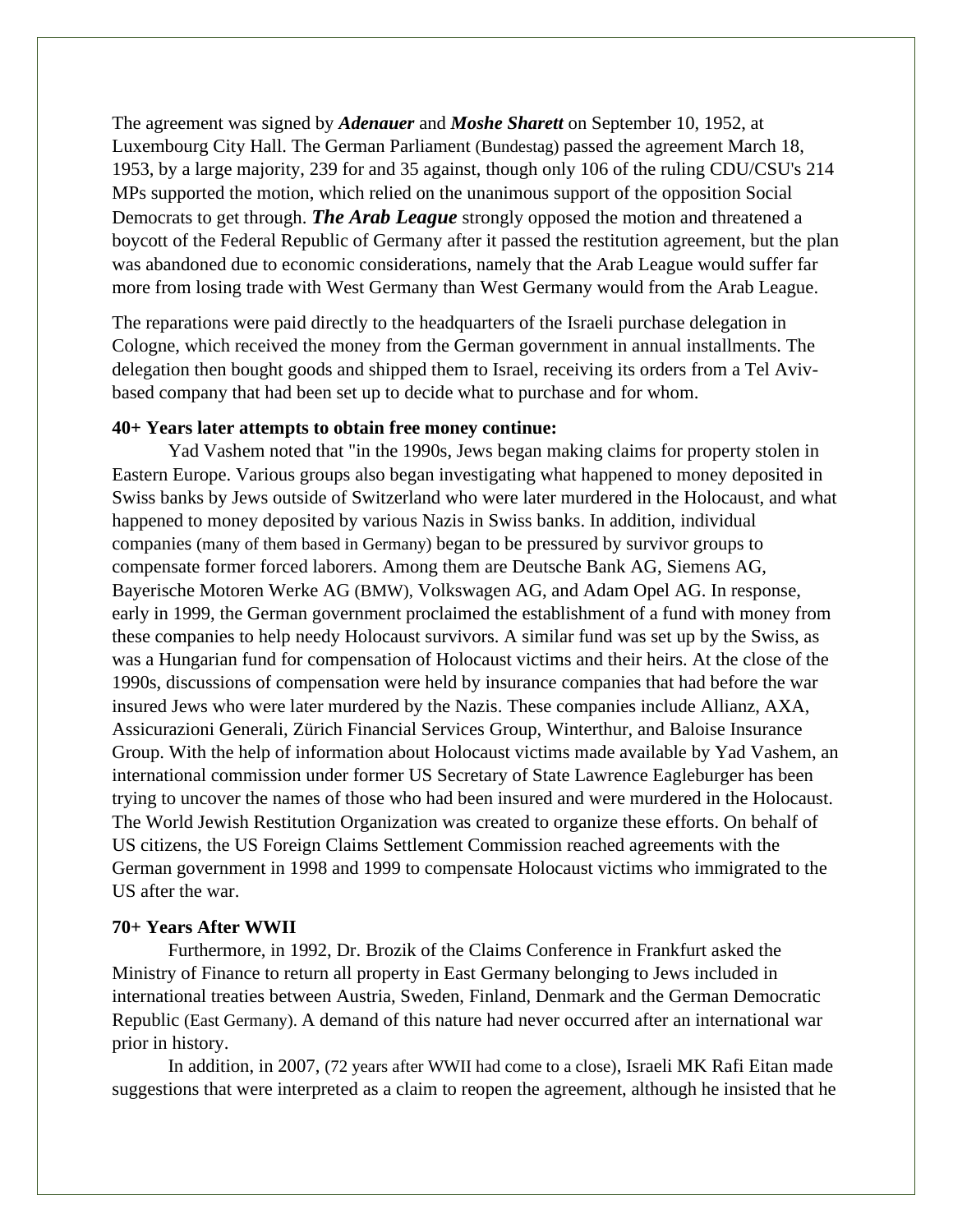The agreement was signed by *Adenauer* and *Moshe Sharett* on September 10, 1952, at Luxembourg City Hall. The German Parliament (Bundestag) passed the agreement March 18, 1953, by a large majority, 239 for and 35 against, though only 106 of the ruling CDU/CSU's 214 MPs supported the motion, which relied on the unanimous support of the opposition Social Democrats to get through. *The Arab League* strongly opposed the motion and threatened a boycott of the Federal Republic of Germany after it passed the restitution agreement, but the plan was abandoned due to economic considerations, namely that the Arab League would suffer far more from losing trade with West Germany than West Germany would from the Arab League.

The reparations were paid directly to the headquarters of the Israeli purchase delegation in Cologne, which received the money from the German government in annual installments. The delegation then bought goods and shipped them to Israel, receiving its orders from a Tel Avivbased company that had been set up to decide what to purchase and for whom.

## **40+ Years later attempts to obtain free money continue:**

Yad Vashem noted that "in the 1990s, Jews began making claims for property stolen in Eastern Europe. Various groups also began investigating what happened to money deposited in Swiss banks by Jews outside of Switzerland who were later murdered in the Holocaust, and what happened to money deposited by various Nazis in Swiss banks. In addition, individual companies (many of them based in Germany) began to be pressured by survivor groups to compensate former forced laborers. Among them are Deutsche Bank AG, Siemens AG, Bayerische Motoren Werke AG (BMW), Volkswagen AG, and Adam Opel AG. In response, early in 1999, the German government proclaimed the establishment of a fund with money from these companies to help needy Holocaust survivors. A similar fund was set up by the Swiss, as was a Hungarian fund for compensation of Holocaust victims and their heirs. At the close of the 1990s, discussions of compensation were held by insurance companies that had before the war insured Jews who were later murdered by the Nazis. These companies include Allianz, AXA, Assicurazioni Generali, Zürich Financial Services Group, Winterthur, and Baloise Insurance Group. With the help of information about Holocaust victims made available by Yad Vashem, an international commission under former US Secretary of State Lawrence Eagleburger has been trying to uncover the names of those who had been insured and were murdered in the Holocaust. The World Jewish Restitution Organization was created to organize these efforts. On behalf of US citizens, the US Foreign Claims Settlement Commission reached agreements with the German government in 1998 and 1999 to compensate Holocaust victims who immigrated to the US after the war.

## **70+ Years After WWII**

Furthermore, in 1992, Dr. Brozik of the Claims Conference in Frankfurt asked the Ministry of Finance to return all property in East Germany belonging to Jews included in international treaties between Austria, Sweden, Finland, Denmark and the German Democratic Republic (East Germany). A demand of this nature had never occurred after an international war prior in history.

In addition, in 2007, (72 years after WWII had come to a close), Israeli MK Rafi Eitan made suggestions that were interpreted as a claim to reopen the agreement, although he insisted that he